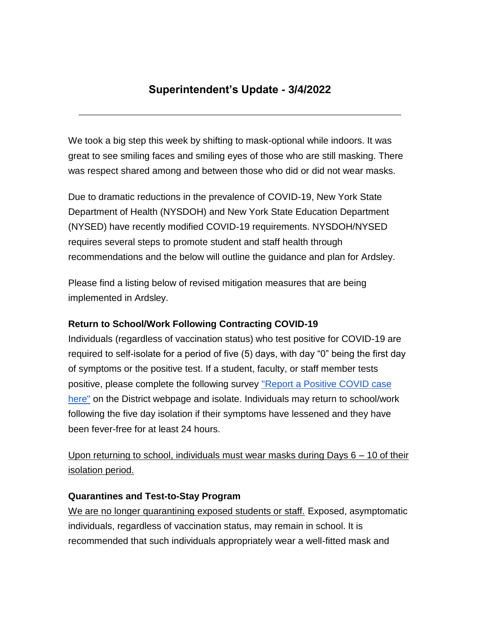# **Superintendent's Update - 3/4/2022**

We took a big step this week by shifting to mask-optional while indoors. It was great to see smiling faces and smiling eyes of those who are still masking. There was respect shared among and between those who did or did not wear masks.

Due to dramatic reductions in the prevalence of COVID-19, New York State Department of Health (NYSDOH) and New York State Education Department (NYSED) have recently modified COVID-19 requirements. NYSDOH/NYSED requires several steps to promote student and staff health through recommendations and the below will outline the guidance and plan for Ardsley.

Please find a listing below of revised mitigation measures that are being implemented in Ardsley.

### **Return to School/Work Following Contracting COVID-19**

Individuals (regardless of vaccination status) who test positive for COVID-19 are required to self-isolate for a period of five (5) days, with day "0" being the first day of symptoms or the positive test. If a student, faculty, or staff member tests positive, please complete the following survey "Report a Positive COVID case [here"](https://www.surveymonkey.com/r/62K3RZY) on the District webpage and isolate. Individuals may return to school/work following the five day isolation if their symptoms have lessened and they have been fever-free for at least 24 hours.

Upon returning to school, individuals must wear masks during Days 6 – 10 of their isolation period.

#### **Quarantines and Test-to-Stay Program**

We are no longer quarantining exposed students or staff. Exposed, asymptomatic individuals, regardless of vaccination status, may remain in school. It is recommended that such individuals appropriately wear a well-fitted mask and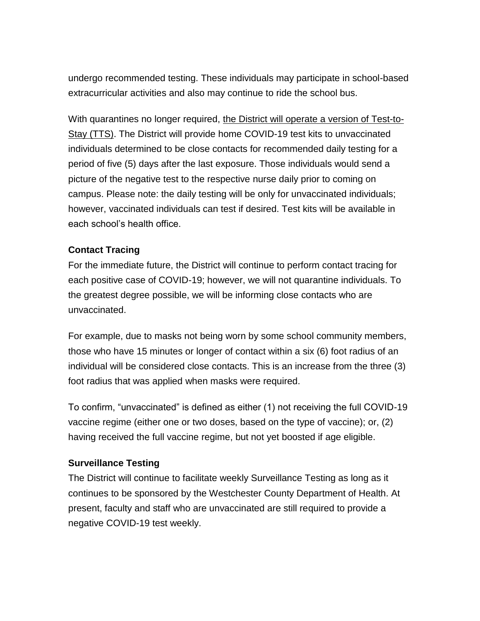undergo recommended testing. These individuals may participate in school-based extracurricular activities and also may continue to ride the school bus.

With quarantines no longer required, the District will operate a version of Test-to-Stay (TTS). The District will provide home COVID-19 test kits to unvaccinated individuals determined to be close contacts for recommended daily testing for a period of five (5) days after the last exposure. Those individuals would send a picture of the negative test to the respective nurse daily prior to coming on campus. Please note: the daily testing will be only for unvaccinated individuals; however, vaccinated individuals can test if desired. Test kits will be available in each school's health office.

### **Contact Tracing**

For the immediate future, the District will continue to perform contact tracing for each positive case of COVID-19; however, we will not quarantine individuals. To the greatest degree possible, we will be informing close contacts who are unvaccinated.

For example, due to masks not being worn by some school community members, those who have 15 minutes or longer of contact within a six (6) foot radius of an individual will be considered close contacts. This is an increase from the three (3) foot radius that was applied when masks were required.

To confirm, "unvaccinated" is defined as either (1) not receiving the full COVID-19 vaccine regime (either one or two doses, based on the type of vaccine); or, (2) having received the full vaccine regime, but not yet boosted if age eligible.

#### **Surveillance Testing**

The District will continue to facilitate weekly Surveillance Testing as long as it continues to be sponsored by the Westchester County Department of Health. At present, faculty and staff who are unvaccinated are still required to provide a negative COVID-19 test weekly.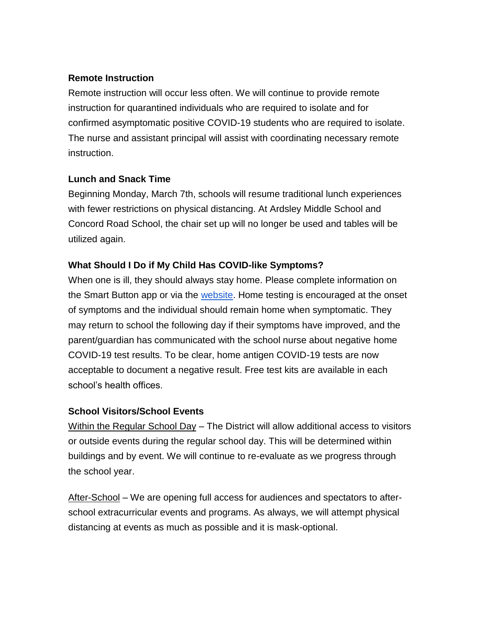### **Remote Instruction**

Remote instruction will occur less often. We will continue to provide remote instruction for quarantined individuals who are required to isolate and for confirmed asymptomatic positive COVID-19 students who are required to isolate. The nurse and assistant principal will assist with coordinating necessary remote instruction.

## **Lunch and Snack Time**

Beginning Monday, March 7th, schools will resume traditional lunch experiences with fewer restrictions on physical distancing. At Ardsley Middle School and Concord Road School, the chair set up will no longer be used and tables will be utilized again.

## **What Should I Do if My Child Has COVID-like Symptoms?**

When one is ill, they should always stay home. Please complete information on the Smart Button app or via the [website.](https://covid19screening.k12alerts.com/ardsleyufsd/) Home testing is encouraged at the onset of symptoms and the individual should remain home when symptomatic. They may return to school the following day if their symptoms have improved, and the parent/guardian has communicated with the school nurse about negative home COVID-19 test results. To be clear, home antigen COVID-19 tests are now acceptable to document a negative result. Free test kits are available in each school's health offices.

### **School Visitors/School Events**

Within the Regular School Day – The District will allow additional access to visitors or outside events during the regular school day. This will be determined within buildings and by event. We will continue to re-evaluate as we progress through the school year.

After-School – We are opening full access for audiences and spectators to afterschool extracurricular events and programs. As always, we will attempt physical distancing at events as much as possible and it is mask-optional.